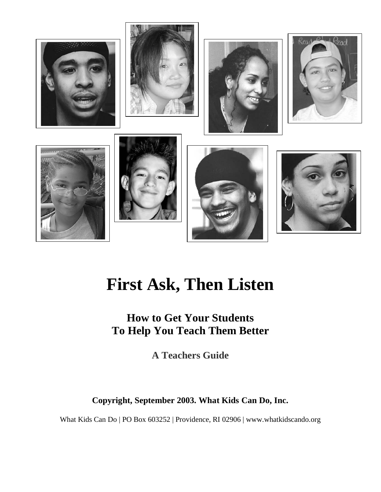

# **First Ask, Then Listen**

# **How to Get Your Students To Help You Teach Them Better**

**A Teachers Guide** 

**Copyright, September 2003. What Kids Can Do, Inc.** 

What Kids Can Do | PO Box 603252 | Providence, RI 02906 | www.whatkidscando.org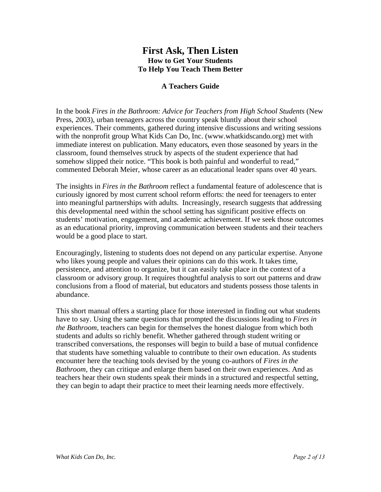## **First Ask, Then Listen How to Get Your Students To Help You Teach Them Better**

#### **A Teachers Guide**

In the book *Fires in the Bathroom: Advice for Teachers from High School Students* (New Press, 2003), urban teenagers across the country speak bluntly about their school experiences. Their comments, gathered during intensive discussions and writing sessions with the nonprofit group What Kids Can Do, Inc. (www.whatkidscando.org) met with immediate interest on publication. Many educators, even those seasoned by years in the classroom, found themselves struck by aspects of the student experience that had somehow slipped their notice. "This book is both painful and wonderful to read," commented Deborah Meier, whose career as an educational leader spans over 40 years.

The insights in *Fires in the Bathroom* reflect a fundamental feature of adolescence that is curiously ignored by most current school reform efforts: the need for teenagers to enter into meaningful partnerships with adults. Increasingly, research suggests that addressing this developmental need within the school setting has significant positive effects on students' motivation, engagement, and academic achievement. If we seek those outcomes as an educational priority, improving communication between students and their teachers would be a good place to start.

Encouragingly, listening to students does not depend on any particular expertise. Anyone who likes young people and values their opinions can do this work. It takes time, persistence, and attention to organize, but it can easily take place in the context of a classroom or advisory group. It requires thoughtful analysis to sort out patterns and draw conclusions from a flood of material, but educators and students possess those talents in abundance.

This short manual offers a starting place for those interested in finding out what students have to say. Using the same questions that prompted the discussions leading to *Fires in the Bathroom*, teachers can begin for themselves the honest dialogue from which both students and adults so richly benefit. Whether gathered through student writing or transcribed conversations, the responses will begin to build a base of mutual confidence that students have something valuable to contribute to their own education. As students encounter here the teaching tools devised by the young co-authors of *Fires in the Bathroom*, they can critique and enlarge them based on their own experiences. And as teachers hear their own students speak their minds in a structured and respectful setting, they can begin to adapt their practice to meet their learning needs more effectively.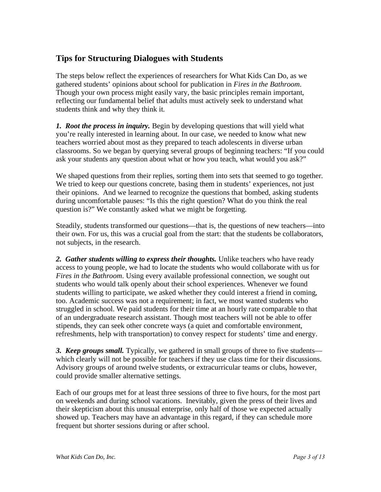# **Tips for Structuring Dialogues with Students**

The steps below reflect the experiences of researchers for What Kids Can Do, as we gathered students' opinions about school for publication in *Fires in the Bathroom*. Though your own process might easily vary, the basic principles remain important, reflecting our fundamental belief that adults must actively seek to understand what students think and why they think it.

*1. Root the process in inquiry.* Begin by developing questions that will yield what you're really interested in learning about. In our case, we needed to know what new teachers worried about most as they prepared to teach adolescents in diverse urban classrooms. So we began by querying several groups of beginning teachers: "If you could ask your students any question about what or how you teach, what would you ask?"

We shaped questions from their replies, sorting them into sets that seemed to go together. We tried to keep our questions concrete, basing them in students' experiences, not just their opinions. And we learned to recognize the questions that bombed, asking students during uncomfortable pauses: "Is this the right question? What do you think the real question is?" We constantly asked what we might be forgetting.

Steadily, students transformed our questions—that is, the questions of new teachers—into their own. For us, this was a crucial goal from the start: that the students be collaborators, not subjects, in the research.

2. Gather students willing to express their thoughts. Unlike teachers who have ready access to young people, we had to locate the students who would collaborate with us for *Fires in the Bathroom*. Using every available professional connection, we sought out students who would talk openly about their school experiences. Whenever we found students willing to participate, we asked whether they could interest a friend in coming, too. Academic success was not a requirement; in fact, we most wanted students who struggled in school. We paid students for their time at an hourly rate comparable to that of an undergraduate research assistant. Though most teachers will not be able to offer stipends, they can seek other concrete ways (a quiet and comfortable environment, refreshments, help with transportation) to convey respect for students' time and energy.

**3. Keep groups small.** Typically, we gathered in small groups of three to five students which clearly will not be possible for teachers if they use class time for their discussions. Advisory groups of around twelve students, or extracurricular teams or clubs, however, could provide smaller alternative settings.

Each of our groups met for at least three sessions of three to five hours, for the most part on weekends and during school vacations. Inevitably, given the press of their lives and their skepticism about this unusual enterprise, only half of those we expected actually showed up. Teachers may have an advantage in this regard, if they can schedule more frequent but shorter sessions during or after school.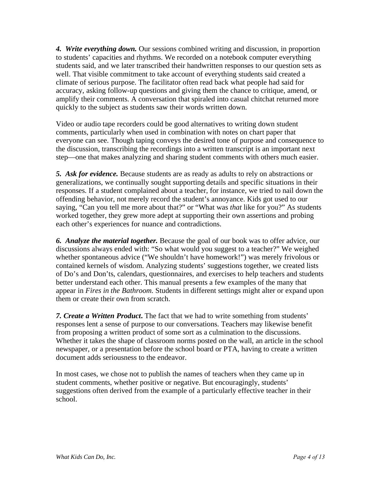*4. Write everything down.* Our sessions combined writing and discussion, in proportion to students' capacities and rhythms. We recorded on a notebook computer everything students said, and we later transcribed their handwritten responses to our question sets as well. That visible commitment to take account of everything students said created a climate of serious purpose. The facilitator often read back what people had said for accuracy, asking follow-up questions and giving them the chance to critique, amend, or amplify their comments. A conversation that spiraled into casual chitchat returned more quickly to the subject as students saw their words written down.

Video or audio tape recorders could be good alternatives to writing down student comments, particularly when used in combination with notes on chart paper that everyone can see. Though taping conveys the desired tone of purpose and consequence to the discussion, transcribing the recordings into a written transcript is an important next step—one that makes analyzing and sharing student comments with others much easier.

*5. Ask for evidence.* Because students are as ready as adults to rely on abstractions or generalizations, we continually sought supporting details and specific situations in their responses. If a student complained about a teacher, for instance, we tried to nail down the offending behavior, not merely record the student's annoyance. Kids got used to our saying, "Can you tell me more about that?" or "What was *that* like for you?" As students worked together, they grew more adept at supporting their own assertions and probing each other's experiences for nuance and contradictions.

*6. Analyze the material together.* Because the goal of our book was to offer advice, our discussions always ended with: "So what would you suggest to a teacher?" We weighed whether spontaneous advice ("We shouldn't have homework!") was merely frivolous or contained kernels of wisdom. Analyzing students' suggestions together, we created lists of Do's and Don'ts, calendars, questionnaires, and exercises to help teachers and students better understand each other. This manual presents a few examples of the many that appear in *Fires in the Bathroom.* Students in different settings might alter or expand upon them or create their own from scratch.

*7. Create a Written Product***.** The fact that we had to write something from students' responses lent a sense of purpose to our conversations. Teachers may likewise benefit from proposing a written product of some sort as a culmination to the discussions. Whether it takes the shape of classroom norms posted on the wall, an article in the school newspaper, or a presentation before the school board or PTA, having to create a written document adds seriousness to the endeavor.

In most cases, we chose not to publish the names of teachers when they came up in student comments, whether positive or negative. But encouragingly, students' suggestions often derived from the example of a particularly effective teacher in their school.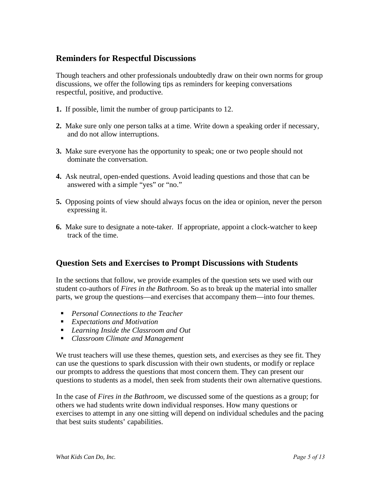# **Reminders for Respectful Discussions**

Though teachers and other professionals undoubtedly draw on their own norms for group discussions, we offer the following tips as reminders for keeping conversations respectful, positive, and productive.

- **1.** If possible, limit the number of group participants to 12.
- **2.** Make sure only one person talks at a time. Write down a speaking order if necessary, and do not allow interruptions.
- **3.** Make sure everyone has the opportunity to speak; one or two people should not dominate the conversation.
- **4.** Ask neutral, open-ended questions. Avoid leading questions and those that can be answered with a simple "yes" or "no."
- **5.** Opposing points of view should always focus on the idea or opinion, never the person expressing it.
- **6.** Make sure to designate a note-taker. If appropriate, appoint a clock-watcher to keep track of the time.

# **Question Sets and Exercises to Prompt Discussions with Students**

In the sections that follow, we provide examples of the question sets we used with our student co-authors of *Fires in the Bathroom*. So as to break up the material into smaller parts, we group the questions—and exercises that accompany them—into four themes.

- ! *Personal Connections to the Teacher*
- *Expectations and Motivation*
- ! *Learning Inside the Classroom and Out*
- ! *Classroom Climate and Management*

We trust teachers will use these themes, question sets, and exercises as they see fit. They can use the questions to spark discussion with their own students, or modify or replace our prompts to address the questions that most concern them. They can present our questions to students as a model, then seek from students their own alternative questions.

In the case of *Fires in the Bathroom*, we discussed some of the questions as a group; for others we had students write down individual responses. How many questions or exercises to attempt in any one sitting will depend on individual schedules and the pacing that best suits students' capabilities.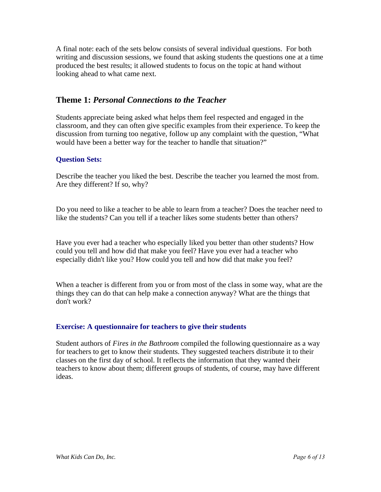A final note: each of the sets below consists of several individual questions. For both writing and discussion sessions, we found that asking students the questions one at a time produced the best results; it allowed students to focus on the topic at hand without looking ahead to what came next.

# **Theme 1:** *Personal Connections to the Teacher*

Students appreciate being asked what helps them feel respected and engaged in the classroom, and they can often give specific examples from their experience. To keep the discussion from turning too negative, follow up any complaint with the question, "What would have been a better way for the teacher to handle that situation?"

#### **Question Sets:**

Describe the teacher you liked the best. Describe the teacher you learned the most from. Are they different? If so, why?

Do you need to like a teacher to be able to learn from a teacher? Does the teacher need to like the students? Can you tell if a teacher likes some students better than others?

Have you ever had a teacher who especially liked you better than other students? How could you tell and how did that make you feel? Have you ever had a teacher who especially didn't like you? How could you tell and how did that make you feel?

When a teacher is different from you or from most of the class in some way, what are the things they can do that can help make a connection anyway? What are the things that don't work?

#### **Exercise: A questionnaire for teachers to give their students**

Student authors of *Fires in the Bathroom* compiled the following questionnaire as a way for teachers to get to know their students. They suggested teachers distribute it to their classes on the first day of school. It reflects the information that they wanted their teachers to know about them; different groups of students, of course, may have different ideas.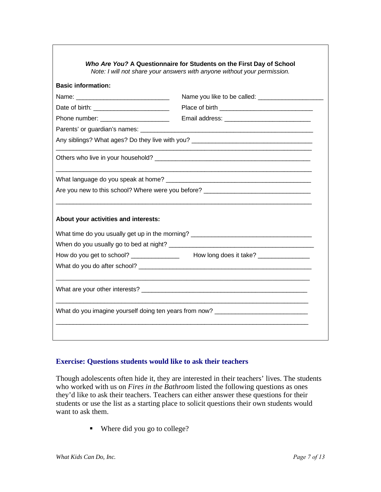| <b>Basic information:</b>             |                                                                                                               |
|---------------------------------------|---------------------------------------------------------------------------------------------------------------|
|                                       | Name you like to be called: ____________________                                                              |
|                                       |                                                                                                               |
| Phone number: _______________________ |                                                                                                               |
|                                       | Parents' or guardian's names: example and a series of the series of the series of the series of the series of |
|                                       | Any siblings? What ages? Do they live with you? _________________________________                             |
|                                       |                                                                                                               |
|                                       |                                                                                                               |
|                                       | Are you new to this school? Where were you before? _____________________________                              |
| About your activities and interests:  |                                                                                                               |
|                                       | What time do you usually get up in the morning?                                                               |
|                                       |                                                                                                               |
|                                       |                                                                                                               |
|                                       |                                                                                                               |
|                                       |                                                                                                               |
|                                       |                                                                                                               |

#### **Exercise: Questions students would like to ask their teachers**

Though adolescents often hide it, they are interested in their teachers' lives. The students who worked with us on *Fires in the Bathroom* listed the following questions as ones they'd like to ask their teachers. Teachers can either answer these questions for their students or use the list as a starting place to solicit questions their own students would want to ask them.

! Where did you go to college?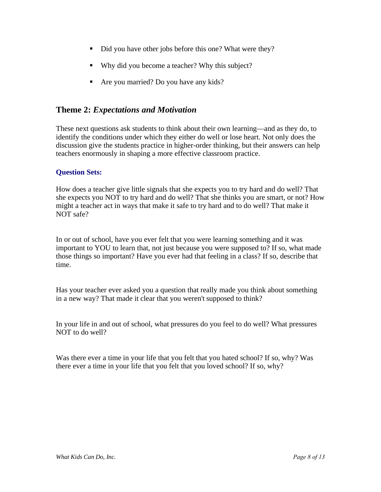- Did you have other jobs before this one? What were they?
- ! Why did you become a teacher? Why this subject?
- ! Are you married? Do you have any kids?

### **Theme 2:** *Expectations and Motivation*

These next questions ask students to think about their own learning—and as they do, to identify the conditions under which they either do well or lose heart. Not only does the discussion give the students practice in higher-order thinking, but their answers can help teachers enormously in shaping a more effective classroom practice.

#### **Question Sets:**

How does a teacher give little signals that she expects you to try hard and do well? That she expects you NOT to try hard and do well? That she thinks you are smart, or not? How might a teacher act in ways that make it safe to try hard and to do well? That make it NOT safe?

In or out of school, have you ever felt that you were learning something and it was important to YOU to learn that, not just because you were supposed to? If so, what made those things so important? Have you ever had that feeling in a class? If so, describe that time.

Has your teacher ever asked you a question that really made you think about something in a new way? That made it clear that you weren't supposed to think?

In your life in and out of school, what pressures do you feel to do well? What pressures NOT to do well?

Was there ever a time in your life that you felt that you hated school? If so, why? Was there ever a time in your life that you felt that you loved school? If so, why?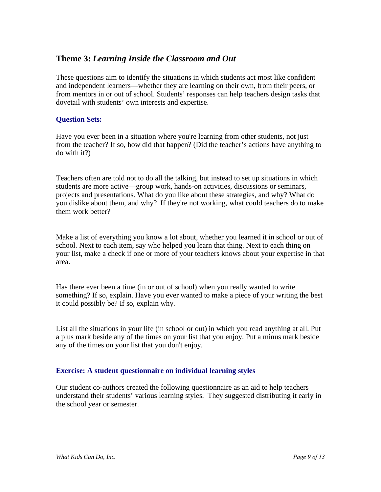# **Theme 3:** *Learning Inside the Classroom and Out*

These questions aim to identify the situations in which students act most like confident and independent learners—whether they are learning on their own, from their peers, or from mentors in or out of school. Students' responses can help teachers design tasks that dovetail with students' own interests and expertise.

#### **Question Sets:**

Have you ever been in a situation where you're learning from other students, not just from the teacher? If so, how did that happen? (Did the teacher's actions have anything to do with it?)

Teachers often are told not to do all the talking, but instead to set up situations in which students are more active—group work, hands-on activities, discussions or seminars, projects and presentations. What do you like about these strategies, and why? What do you dislike about them, and why? If they're not working, what could teachers do to make them work better?

Make a list of everything you know a lot about, whether you learned it in school or out of school. Next to each item, say who helped you learn that thing. Next to each thing on your list, make a check if one or more of your teachers knows about your expertise in that area.

Has there ever been a time (in or out of school) when you really wanted to write something? If so, explain. Have you ever wanted to make a piece of your writing the best it could possibly be? If so, explain why.

List all the situations in your life (in school or out) in which you read anything at all. Put a plus mark beside any of the times on your list that you enjoy. Put a minus mark beside any of the times on your list that you don't enjoy.

#### **Exercise: A student questionnaire on individual learning styles**

Our student co-authors created the following questionnaire as an aid to help teachers understand their students' various learning styles. They suggested distributing it early in the school year or semester.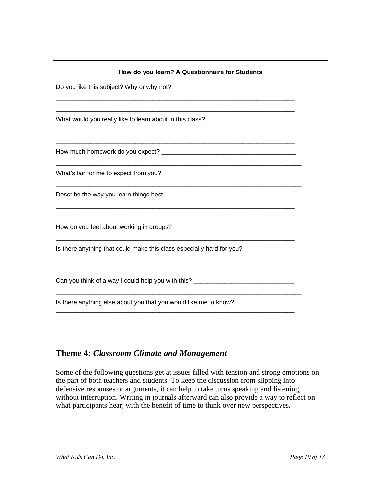| How do you learn? A Questionnaire for Students                                   |
|----------------------------------------------------------------------------------|
|                                                                                  |
|                                                                                  |
| What would you really like to learn about in this class?                         |
|                                                                                  |
|                                                                                  |
| Describe the way you learn things best.                                          |
|                                                                                  |
| Is there anything that could make this class especially hard for you?            |
| Can you think of a way I could help you with this? _____________________________ |
| Is there anything else about you that you would like me to know?                 |
|                                                                                  |

# **Theme 4:** *Classroom Climate and Management*

Some of the following questions get at issues filled with tension and strong emotions on the part of both teachers and students. To keep the discussion from slipping into defensive responses or arguments, it can help to take turns speaking and listening, without interruption. Writing in journals afterward can also provide a way to reflect on what participants hear, with the benefit of time to think over new perspectives.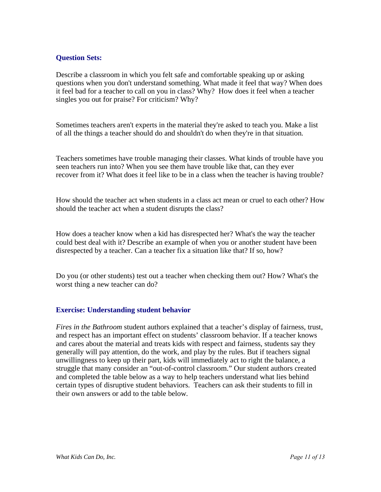#### **Question Sets:**

Describe a classroom in which you felt safe and comfortable speaking up or asking questions when you don't understand something. What made it feel that way? When does it feel bad for a teacher to call on you in class? Why? How does it feel when a teacher singles you out for praise? For criticism? Why?

Sometimes teachers aren't experts in the material they're asked to teach you. Make a list of all the things a teacher should do and shouldn't do when they're in that situation.

Teachers sometimes have trouble managing their classes. What kinds of trouble have you seen teachers run into? When you see them have trouble like that, can they ever recover from it? What does it feel like to be in a class when the teacher is having trouble?

How should the teacher act when students in a class act mean or cruel to each other? How should the teacher act when a student disrupts the class?

How does a teacher know when a kid has disrespected her? What's the way the teacher could best deal with it? Describe an example of when you or another student have been disrespected by a teacher. Can a teacher fix a situation like that? If so, how?

Do you (or other students) test out a teacher when checking them out? How? What's the worst thing a new teacher can do?

#### **Exercise: Understanding student behavior**

*Fires in the Bathroom* student authors explained that a teacher's display of fairness, trust, and respect has an important effect on students' classroom behavior. If a teacher knows and cares about the material and treats kids with respect and fairness, students say they generally will pay attention, do the work, and play by the rules. But if teachers signal unwillingness to keep up their part, kids will immediately act to right the balance, a struggle that many consider an "out-of-control classroom." Our student authors created and completed the table below as a way to help teachers understand what lies behind certain types of disruptive student behaviors. Teachers can ask their students to fill in their own answers or add to the table below.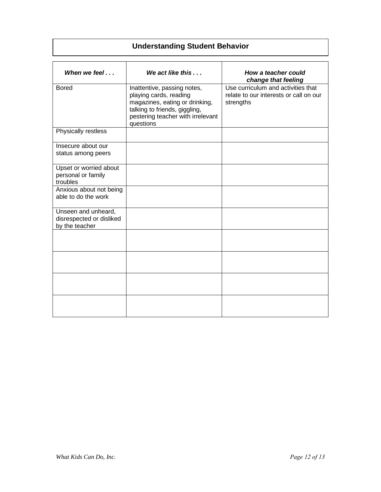# **Understanding Student Behavior**

| When we feel $\ldots$                                             | We act like this $\ldots$                                                                                                                                                  | How a teacher could<br>change that feeling                                                |
|-------------------------------------------------------------------|----------------------------------------------------------------------------------------------------------------------------------------------------------------------------|-------------------------------------------------------------------------------------------|
| <b>Bored</b>                                                      | Inattentive, passing notes,<br>playing cards, reading<br>magazines, eating or drinking,<br>talking to friends, giggling,<br>pestering teacher with irrelevant<br>questions | Use curriculum and activities that<br>relate to our interests or call on our<br>strengths |
| Physically restless                                               |                                                                                                                                                                            |                                                                                           |
| Insecure about our<br>status among peers                          |                                                                                                                                                                            |                                                                                           |
| Upset or worried about<br>personal or family<br>troubles          |                                                                                                                                                                            |                                                                                           |
| Anxious about not being<br>able to do the work                    |                                                                                                                                                                            |                                                                                           |
| Unseen and unheard,<br>disrespected or disliked<br>by the teacher |                                                                                                                                                                            |                                                                                           |
|                                                                   |                                                                                                                                                                            |                                                                                           |
|                                                                   |                                                                                                                                                                            |                                                                                           |
|                                                                   |                                                                                                                                                                            |                                                                                           |
|                                                                   |                                                                                                                                                                            |                                                                                           |